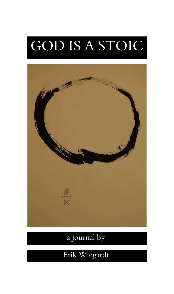# GOD IS A STOIC



# a journal by

# Erik Wiegardt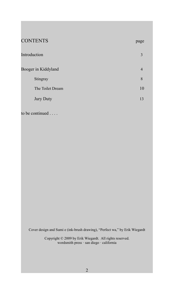| <b>CONTENTS</b>     | page           |
|---------------------|----------------|
| Introduction        | 3              |
| Booger in Kiddyland | $\overline{4}$ |
| Stingray            | 8              |
| The Toilet Dream    | 10             |
| <b>Jury Duty</b>    | 13             |

to be continued . . . .

Cover design and Sumi e (ink-brush drawing), "Perfect wa," by Erik Wiegardt

Copyright © 2009 by Erik Wiegardt. All rights reserved. wordsmith press · san diego · california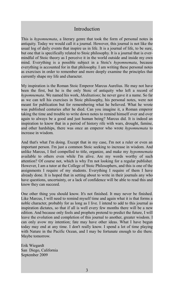### Introduction

This is *hypomnemata*, a literary genre that took the form of personal notes in antiquity. Today we would call it a journal. However, this journal is not like the usual log of daily events that inspire us in life. It is a journal of life, to be sure, but one that is specifically related to Stoic philosophy. It is a journal that is evermindful of Stoic theory as I perceive it in the world outside and inside my own mind. Everything is a possible subject in a Stoic's *hypomnemata*, because everything is accounted for in that philosophy. I am writing these personal notes as exercises in order to remember and more deeply examine the principles that currently shape my life and character.

My inspiration is the Roman Stoic Emperor Marcus Aurelius. He may not have been the first, but he is the only Stoic of antiquity who left a record of *hypomnemata*. We named his work, *Meditations*; he never gave it a name. So far as we can tell his exercises in Stoic philosophy, his personal notes, were not meant for publication but for remembering what he believed. What he wrote was published centuries after he died. Can you imagine it, a Roman emperor taking the time and trouble to write down notes to remind himself over and over again to always be a good and just human being? Marcus did. It is indeed an inspiration to know that in a period of history rife with wars, drought, famine, and other hardships, there was once an emperor who wrote *hypomnemata* to increase in wisdom.

And that's what I'm doing. Except that in my case, I'm not a ruler or even an important person. I'm just a common Stoic seeking to increase in wisdom. And unlike Marcus, I feel compelled to title, organize, and make my *hypomnemata* available to others even while I'm alive. Are my words worthy of such attention? Of course not, which is why I'm not looking for a regular publisher. However, I am a tutor at the College of Stoic Philosophers, and this is one of the assignments I require of my students. Everything I require of them I have already done. It is hoped that in setting about to write in their journals any who have questions, uncertainty, or a lack of confidence will be able to read this and know they can succeed.

One other thing you should know. It's not finished. It may never be finished. Like Marcus, I will need to remind myself time and again what it is that forms a noble character, probably for as long as I live. I intend to add to this journal as inspiration dictates, so that if all is well every few months there will be a new edition. And because only fools and prophets pretend to predict the future, I will leave the evolution and completion of this journal to another, greater wisdom. I can only avow my intention; fate may have other ideas. What I have begun today may end at any time. I don't really know. I spend a lot of time playing with Nature in the Pacific Ocean, and I may be fortunate enough to die there. Maybe tomorrow.

Erik Wiegardt San Diego, California September 2009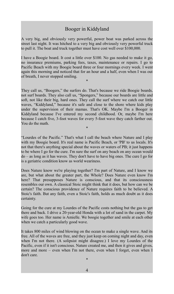# Booger in Kiddyland

A very big, and obviously very powerful, power boat was parked across the street last night. It was hitched to a very big and obviously very powerful truck to pull it. The boat and truck together must have cost well over \$100,000.

I have a Boogie board. It cost a little over \$100. No gas needed to make it go, no insurance premiums, parking fees, taxes, maintenance or repairs. I go to Pacific Beach with my Boogie board three or four mornings every week. I went again this morning and noticed that for an hour and a half, even when I was out of breath, I never stopped smiling.

\*

They call us, "Boogers," the surfers do. That's because we ride Boogie boards, not surf boards. They also call us, "Spongers," because our boards are little and soft, not like their big, hard ones. They call the surf where we catch our little waves, "Kiddyland," because it's safe and close to the shore where kids play under the supervision of their mamas. That's OK. Maybe I'm a Booger in Kiddyland because I've entered my second childhood. Or, maybe I'm here because I catch five, 3-foot waves for every 5-foot wave they catch farther out. You do the math.

"Lourdes of the Pacific." That's what I call the beach where Nature and I play with my Boogie board. It's real name is Pacific Beach, or 'PB' to us locals. It's not that there's anything special about the waves or waters of PB; it just happens to be where I go for the cure. I'm sure the surf on any beach on any ocean would do – as long as it has waves. They don't have to have big ones. The cure I go for is a geriatric condition know as world weariness.

\*

Does Nature know we're playing together? I'm part of Nature, and I know we are, but what about the greater part, the Whole? Does Nature even know I'm here? That presupposes Nature is conscious, and that its consciousness resembles our own. A classical Stoic might think that it does, but how can we be certain? The conscious providence of Nature requires faith to be believed. A Stoic's faith. But any faith, even a Stoic's faith, holds as much doubt as it does certainty.

Going for the cure at my Lourdes of the Pacific costs nothing but the gas to get there and back. I drive a 20-year-old Honda with a lot of sand in the carpet. My wife goes too. Her name is Amielle. We boogie together and smile at each other when we catch a particularly good wave.

It takes 800 miles of wind blowing on the ocean to make a single wave. And its free. All of the waves are free, and they just keep on coming night and day, even when I'm not there. (A solipsist might disagree.) I love my Lourdes of the Pacific, even if it isn't conscious. Nature created me, and then it gives and gives, more and more – even when I'm not there, even when I forget, even when I don't care.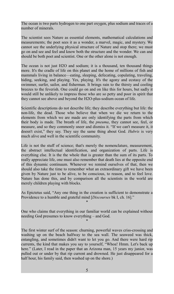The ocean is two parts hydrogen to one part oxygen, plus sodium and traces of a number of minerals.

The scientist sees Nature as essential elements, mathematical calculations and measurements; the poet sees it as a wonder, a marvel, magic, and mystery. We cannot see the underlying physical structure of Nature and stop there; we must go on and see and feel and know both the structure and the wonder. We can and should be both poet and scientist. One or the other alone is not enough.

The ocean is not just H2O and sodium; it is a thousand, ten thousand things more. It's the cradle of life on this planet and the home of millions of fish and mammals living in balance—eating, sleeping, defecating, copulating, traveling, hiding, seeking, and playing. Yes, playing. It's the agony and ecstasy of the swimmer, surfer, sailor, and fisherman. It brings rain to the thirsty and cooling breezes to the feverish. One could go on and on like this for hours, but sadly it would still be unlikely to impress those who are so petty and poor in spirit that they cannot see above and beyond the H2O-plus-sodium ocean of life.

Scientific descriptions do not describe life; they describe everything but life: the non-life, the dead. Those who believe that when we die we return to the elements from which we are made are only identifying the parts from which their body is made. The breath of life, the *pneuma*, they cannot see, feel, or measure, and so they commonly sneer and dismiss it. "If we can't measure it, it doesn't exist," they say. They say the same thing about God. *Hubris* is very much alive and well in the scientific community.

Life is not the stuff of science; that's merely the nomenclature, measurement, the abstract intellectual identification, and organization of parts. Life is everything else. It is the the whole that is greater than the sum of its parts. To really appreciate life, one must also remember that death lies at the opposite end of this dynamic continuum. Whenever we remind ourselves of that, then we should also take the time to remember what an extraordinary gift we have been given by Nature just to be alive, to be conscious, to reason, and to feel love. Nature has done this, and by comparison all the scientists in the world are merely children playing with blocks.

As Epictetus said, "Any one thing in the creation is sufficient to demonstrate a Providence to a humble and grateful mind [*Discourses* bk I, ch. 16]." \*

One who claims that everything in our familiar world can be explained without needing God presumes to know everything – and God.

\*

The first winter surf of the season: churning, powerful waves criss-crossing and washing up on the beach halfway to the sea wall. The seaweed was thick, entangling, and sometimes didn't want to let you go. And there were hard rip currents, the kind that makes you say to yourself, "Whoa! Hmm. Let's back up here." (Later, I read in the paper that an Arizona man, 15 years my junior, was pulled out or under by that rip current and drowned. He just disappeared for a half hour, his family said, then washed up on the shore.)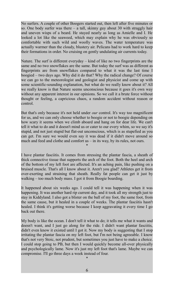No surfers. A couple of other Boogers started out, then left after five minutes or so. One body surfer was there – a tall, skinny guy about 30 with straggly hair and uneven wisps of a beard. He stayed nearly as long as Amielle and I. He looked a lot like the seaweed, which may explain why he was obviously so comfortable with such wild and woolly waves. The water temperature was actually warmer than the cloudy, blustery air. Pelicans had to work hard to keep their formations in order. No cruising on gently undulating air currents today.

Nature. The surf is different everyday – kind of like no two fingerprints are the same and no two snowflakes are the same. But today the surf was as different as fingerprints are from snowflakes compared to what it was the last time I boogied – two days ago. Why did it do that? Why the radical change? Of course we can go to the meteorologist and geologist and physicist and come up with some scientific-sounding explanation, but what do we really know about it? All we really know is that Nature seems unconscious because it goes it's own way without any apparent interest in our opinions. So we call it a brute force without thought or feeling, a capricious chaos, a random accident without reason or control.

But that's only because it's not held under *our* control. It's way too magnificent for us, and we can only choose whether to boogie or not to boogie depending on how scary it seems when we climb aboard and hang on for dear life. We can't tell it what to do and it doesn't mind us or cater to our every whim, so we say it's stupid, and not just stupid but flat-out unconscious, which is as stupefied as you can get. I'm sure we would even say it was dead if it didn't move around so much and feed and clothe and comfort us – in its way, by its rules, not ours.

\*

I have plantar fasciitis. It comes from stressing the plantar fascia, a sheath of thick connective tissue that supports the arch of the foot. Both the heel and arch of the bottom of my left foot are affected. It's an aching pain, like pushing on a bruised muscle. That's all I know about it. Aren't you glad? Athletes get it from over-exerting and straining that sheath. Really fat people can get it just by walking – too much body mass. I got it from Boogie boarding.

It happened about six weeks ago. I could tell it was happening when it was happening. It was another hard rip current day, and it took all my strength just to stay in Kiddyland. I also got a blister on the ball of my foot, the same foot, from the same cause, but it healed in a couple of weeks. The plantar fasciitis hasn't healed. I think it's getting worse because I keep aggravating it every time I go back out there.

My body is like the ocean. I don't tell it what to do; it tells me what it wants and doesn't want, and I just go along for the ride. I didn't want plantar fasciitis, didn't even know it existed until I got it. Now my body is suggesting that I stop irritating the plantar fascia on my left foot, but I'm not being agreeable. I know that's not very Stoic, not prudent, but sometimes you just have to make a choice. I could stop going to PB, but then I would quickly become all-over physically and psychologically lame. Now it's just my left foot that's lame. Maybe we can compromise. I'll go three days a week instead of four.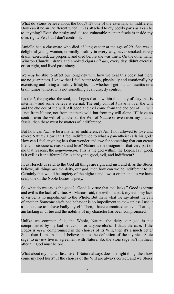What do Stoics believe about the body? It's one of the externals, an indifferent. How can it be an indifferent when I'm as attached to my bodily parts as I can be to anything? Even the pesky and all too vulnerable plantar fascia is inside my skin, right? Yes, but I don't control it.

Amielle had a classmate who died of lung cancer at the age of 29. She was a delightful young woman, normally healthy in every way, never smoked, rarely drank, exercised, ate properly, and died before she was thirty. On the other hand, Winston Churchill drank and smoked cigars *all day*, every day, didn't exercise or eat right, and lived past ninety.

We *may* be able to affect our longevity with how we treat this body, but there are no guarantees. I know that I feel better today, physically and emotionally by exercising and living a healthy lifestyle, but whether I get plantar fasciitis or a brain tumor tomorrow is not something I can directly control.

It's the *I*, the psyche, the soul, the Logos that is within this body of clay that is internal – and some believe is eternal. The only control *I* have is over the will and the choices of the will. All good and evil come from the choices of *my* will – not from Nature, not from another's will, but from my will alone. If I have no control over the will of another or the Will of Nature or even over my plantar fascia, then these must be matters of indifference.

But how can *Nature* be a matter of indifference? Am I not allowed to love and revere Nature? How can I feel indifference to what a panentheist calls his god? How can I feel anything less than wonder and awe for something that can create life, consciousness, reason, and love? Nature is the designer of that very part of me that reasons, the *hegemonikon*. This is the god within, the Logos. Is it good, is it evil, is it indifferent? Or, is it beyond good, evil, and indifferent?

If, as Heraclitus said, to the God all things are right and just; and if, as the Stoics believe, all things *are* the deity, our god, then how can we be indifferent to it? Certainly that would be impiety of the highest and lowest order, and, as we have seen, one of the Noble Duties is piety.

So, what do we say is the good? "Good is virtue that evil lacks." Good is virtue and evil is the lack of virtue. As Marcus said, the evil of a part, my evil, my lack of virtue, is no impediment to the Whole. But that's what we say about the evil of another. Someone else's bad behavior is no impediment to me-- unless I use it as an excuse to behave badly myself. Then, I have committed an evil. That is, I am lacking in virtue and the nobility of my character has been compromised.

Unlike we common folk, the Whole, Nature, the deity, our god is not compromised by my bad behavior – or anyone else's. If that's the case, if the Logos is *never* compromised in the choices of its Will, then it's a much better Stoic than I am. In fact, I believe that is the definition of the mythical Stoic sage: to *always* live in agreement with Nature. So, the Stoic sage isn't mythical after all: God must be one.

What about my plantar fasciitis? If Nature always does the right thing, then how come my heel hurts? If the choices of the Will are always correct, and we Stoics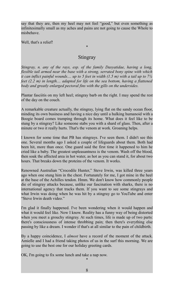say that they are, then my heel may not feel "good," but even something as infinitesimally small as my aches and pains are not going to cause the Whole to misbehave.

Well, that's a relief!

#### **Stingray**

\*

*Stingray, n. any of the rays, esp. of the family Dasyatidae, having a long, flexible tail armed near the base with a strong, serrated bony spine with which it can inflict painful wounds.... up to 5 feet in width (1.5 m) with a tail up to 7¼ feet (2.2 m) in length.... adapted for life on the sea bottom, having a flattened body and greatly enlarged pectoral fins with the gills on the undersides.*

Plantar fasciitis on my left heel; stingray barb on the right. I may spend the rest of the day on the couch.

A remarkable creature actually, the stingray, lying flat on the sandy ocean floor, minding its own business and having a nice day until a hulking humanoid with a Boogie board comes tramping through its home. What does it feel like to be stung by a stingray? Like someone stabs you with a shard of glass. Then, after a minute or two it really hurts. That's the venom at work. Groaning helps.

I known for some time that PB has stingrays. I've seen them. I didn't see this one. Several months ago I asked a couple of lifeguards about them. Both had been hit, more than once. One guard said the first time it happened to him he cried like a baby. The greatest unpleasantness is the venom. Wash off the blood, then soak the affected area in hot water, as hot as you can stand it, for about two hours. That breaks down the proteins of the venom. It works.

Renowned Australian "Crocodile Hunter," Steve Irwin, was killed three years ago when one stung him in the chest. Fortunately for me, I got mine in the heel at the base of the Achilles tendon. Hmm. We don't know how commonly people die of stingray attacks because, unlike our fascination with sharks, there is no international agency that tracks them. If you want to see some stingrays and what Irwin was doing when he was hit by a stingray go to YouTube and enter "Steve Irwin death video."

I'm glad it finally happened. I've been wondering when it would happen and what it would feel like. Now I know. Reality has a funny way of being distorted when you meet a grouchy stingray. At such times, life is made up of two parts: there's consciousness of intense throbbing pain; then there's everything else passing by like a dream. I wonder if that's at all similar to the pain of childbirth.

By a happy coincidence, I *almost* have a record of the moment of the attack. Amielle and I had a friend taking photos of us in the surf this morning. We are going to use the best one for our holiday greeting cards.

OK, I'm going to fix some lunch and take a nap now.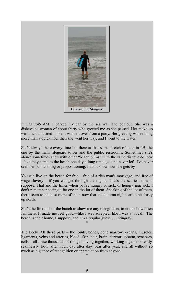

It was 7:45 AM. I parked my car by the sea wall and got out. She was a disheveled woman of about thirty who greeted me as she passed. Her make-up was thick and tired – like it was left over from a party. Her greeting was nothing more than a quick nod, then she went her way, and I went to the water.

She's always there every time I'm there at that same stretch of sand in PB, the one by the main lifeguard tower and the public restrooms. Sometimes she's alone; sometimes she's with other "beach bums" with the same disheveled look – like they came to the beach one day a long time ago and never left. I've never seen her panhandling or propositioning. I don't know how she gets by.

You can live on the beach for free – free of a rich man's mortgage, and free of wage slavery – if you can get through the nights. That's the scariest time, I suppose. That and the times when you're hungry or sick, or hungry *and* sick. I don't remember seeing a fat one in the lot of them. Speaking of the lot of them, there seem to be a lot more of them now that the autumn nights are a bit frosty up north.

She's the first one of the bunch to show me any recognition, to notice how often I'm there. It made me feel good—like I was accepted, like I was a "local." The beach is their home, I suppose, and I'm a regular guest. . . . stingray!

\*

The Body. All these parts – the joints, bones, bone marrow, organs, muscles, ligaments, veins and arteries, blood, skin, hair, brain, nervous system, synapses, cells – all these thousands of things moving together, working together silently, seamlessly, hour after hour, day after day, year after year, and all without so much as a glance of recognition or appreciation from anyone.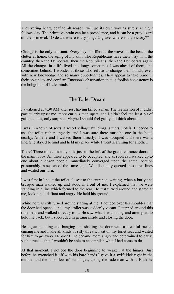A quivering heart, deaf to all reason, will go its own way as surely as night follows day. The primitive brain can be a providence, and it can be a grey lizard of the primeval. "O death, where is thy sting? O grave, where is thy victory?"

\*

Change is the only constant. Every day is different: the waves at the beach, the clutter at home, the aging of my skin. The Republicans have their way with the country, then the Democrats, then the Republicans, then the Democrats again. All the changes in a life lived this long: sometimes I was ahead of them, and sometimes behind. I wonder at those who refuse to change their minds, even with new knowledge and so many opportunities. They appear to take pride in their obstinacy and confirm Emerson's observation that "a foolish consistency is the hobgoblin of little minds."

## The Toilet Dream

\*

I awakened at 4:30 AM after just having killed a man. The realization of it didn't particularly upset me, more curious than upset, and I didn't feel the least bit of guilt about it, only surprise. Maybe I should feel guilty. I'll think about it.

I was in a town of sorts, a resort village: buildings, streets, hotels. I needed to use the toilet rather urgently, and I was sure there must be one in the hotel nearby. Amielle and I walked there directly. It was occupied and there was a line. She stayed behind and held my place while I went searching for another.

There! Three toilets side-by-side just to the left of the grand entrance doors of the main lobby. All three appeared to be occupied, and as soon as I walked up to one about a dozen people immediately converged upon the same location presumably in search of the same goal. We all quietly queued into three lines and waited our turn.

I was first in line at the toilet closest to the entrance, waiting, when a burly and brusque man walked up and stood in front of me. I explained that we were standing in a line which formed to the rear. He just turned around and stared at me, looking all defiant and angry. He held his ground.

While he was still turned around staring at me, I noticed over his shoulder that the door had opened and "my" toilet was suddenly vacant. I stepped around this rude man and walked directly to it. He saw what I was doing and attempted to hold me back, but I succeeded in getting inside and closing the door.

He began shouting and banging and shaking the door with a dreadful racket, cursing me and make all kinds of silly threats. I sat on my toilet seat and waited for him to go away. He didn't. He became more angry and determined to cause such a ruckus that I wouldn't be able to accomplish what I had come to do.

At that moment, I noticed the door beginning to weaken at the hinges. Just before he wrenched it off with his bare hands I gave it a swift kick right in the middle, and the door flew off its hinges, taking the rude man with it. Back he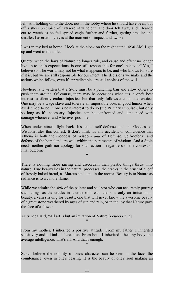fell, still holding on to the door, not in the lobby where he should have been, but off a sheer precipice of extraordinary height. The door fell away and I leaned out to watch as he fell spread eagle further and further, getting smaller and smaller. I averted my eyes at the moment of impact and awoke.

I was in my bed at home. I look at the clock on the night stand: 4:30 AM. I got up and went to the toilet.

**Query**: when the laws of Nature no longer rule, and cause and effect no longer live up to one's expectations, is one still responsible for one's behavior? Yes, I believe so. The world may not be what it appears to be, and who knows for sure if it is, but we are still responsible for our intent. The decisions we make and the actions which follow, even if unpredictable, are still choices of the will.

Nowhere is it written that a Stoic must be a punching bag and allow others to push them around. Of course, there may be occasions when it's in one's best interest to silently endure injustice, but that only follows a calculated choice. One may be a wage slave and tolerate an impossible boss in good humor when it's deemed to be in one's best interest to do so (the Primary Impulse), but only so long as it's necessary. Injustice can be confronted and denounced with courage whenever and wherever possible.

When under attack, fight back. It's called self defense, and the Goddess of Wisdom rules this contest. It don't think it's any accident or coincidence that Athena is both the Goddess of Wisdom *and* of Defense. Self-defense and defense of the homeland are well within the parameters of wisdom. And a Stoic needs neither guilt nor apology for such action – regardless of the context or final outcome.

There is nothing more jarring and discordant than plastic things thrust into nature. True beauty lies in the natural processes, the cracks in the crust of a loaf of freshly baked bread, as Marcus said, and in the aroma. Beauty is to Nature as radiance is to a candle flame.

\*

While we admire the *skill* of the painter and sculptor who can accurately portray such things as the cracks in a crust of bread, theirs is only an imitation of beauty, a vain striving for beauty, one that will never know the awesome beauty of a great stone weathered by ages of sun and rain, or in the joy that Nature gave the face of a flower.

As Seneca said, "All art is but an imitation of Nature [*Letters* 65, 3]."

From my mother, I inherited a positive attitude. From my father, I inherited sensitivity and a kind of fierceness. From both, I inherited a healthy body and average intelligence. That's all. And that's enough.

\*

\*

Stoics believe the nobility of one's character can be seen in the face, the countenance, even in one's bearing. It is the beauty of one's soul making an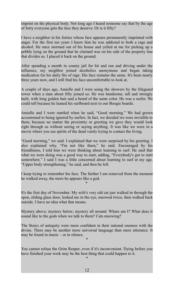imprint on the physical body. Not long ago I heard someone say that by the age of forty everyone gets the face they deserve. Or is it fifty?

I have a neighbor in his forties whose face appears permanently imprinted with anger. For the first ten years I knew him he was addicted to both a rage and alcohol. He once stormed out of his house and yelled at me for picking up a pebble lying on the ground that he claimed was on his side of the property line that divides us. I placed it back on the ground.

After spending a month in county jail for hit and run and driving under the influence, my neighbor joined alcoholics anonymous and began taking medication for his daily fits of rage. His face remains the same. It's been nearly three years now, and I still find his face uncomfortable to look at.

A couple of days ago, Amielle and I were using the showers by the lifeguard tower when a man about fifty joined us. He was handsome, tall and strongly built, with long golden hair and a beard of the same color. He was a surfer. We could tell because he leaned his surfboard next to our Boogie boards.

Amielle and I were startled when he said, "Good morning." We had grown accustomed to being ignored by surfers. In fact, we decided we were invisible to them, because no matter the proximity or greeting we gave they would look right through us without seeing or saying anything. It was like we were in a movie where you see spirits of the dead vainly trying to contact the living.

"Good morning," we said. I explained that we were surprised by his greeting. I also explained why. "I'm not like them," he said. Encouraged by his friendliness, I told him we were thinking about learning to surf. He said that what we were doing was a good way to start, adding, "Everybody's got to start somewhere." I said I was a little concerned about learning to surf at my age. "Upper body strengthening," he said, and then he left.

I keep trying to remember his face. The further I am removed from the moment he walked away, the more he appears like a god. \*

It's the first day of November. My wife's very old cat just walked in through the open, sliding glass door, looked me in the eye, meowed twice, then walked back outside. I have no idea what that means.

Mystery above; mystery below; mystery all around. Where am I? What does it sound like to the gods when we talk to them? Cats meowing?

The Stoics of antiquity were more confident in their rational oneness with the divine. There may be another more universal language than mere utterance. It may be found in music – or in silence.

\*

You cannot refuse the Grim Reaper, even if it's inconvenient. Dying before you have finished your work may be the best thing that could happen to it. \*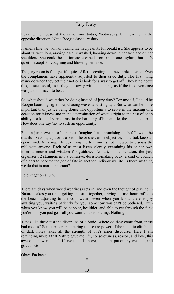## Jury Duty

Leaving the house at the same time today, Wednesday, but heading in the opposite direction. Not a Boogie day: jury duty.

It smells like the woman behind me had peanuts for breakfast. She appears to be about 50 with long graying hair, unwashed, hanging down in her face and on her shoulders. She could be an inmate escaped from an insane asylum, but she's quiet – except for coughing and blowing her nose.

The jury room is full, yet it's quiet. After accepting the inevitable, silence. Even the complainers have apparently adjusted to their civic duty. The first thing many do when they get their notice is look for a way to get off. They brag about this, if successful, as if they got away with something, as if the inconvenience was just too much to bear.

So, what should we rather be doing instead of jury duty? For myself, I could be Boogie boarding right now, chasing waves and stingrays. But what can be more important than justice being done? The opportunity to serve in the making of a decision for fairness and in the determination of what is right to the best of one's ability is a kind of sacred trust in the harmony of human life, the social contract. How does one say 'no' to such an opportunity.

First, a juror swears to be honest. Imagine that—promising one's fellows to be truthful. Second, a juror is asked if he or she can be objective, impartial, keep an open mind. Amazing. Third, during the trial one is not allowed to discuss the trial with anyone. Each of us must listen silently, examining his or her own inner discourse and wisdom for guidance. At last, in deliberation, the jury organizes 12 strangers into a cohesive, decision-making body, a kind of council of elders to become the god of fate in another individual's life. Is there anything we do that is more important?

I didn't get on a jury.

There are days when world weariness sets in, and even the thought of playing in Nature makes you tired: getting the stuff together, driving in rush-hour traffic to the beach, adjusting to the cold water. Even when you know there is joy awaiting you, waiting patiently for you, somehow you can't be bothered. Even when you know you will be happier, healthier, and able to get through the funk you're in if you just go – all you want to do is nothing. Nothing.

\*

Times like these test the discipline of a Stoic. Where do they come from, these bad moods? Sometimes remembering to use the power of the mind to climb out of dark holes takes all the strength of one's inner discourse. Here I am reminding myself that Nature gave me life, consciousness, reason, and love, this awesome power, and all I have to do is move, stand up, put on my wet suit, and go . . . . Go!

Okay, I'm back.